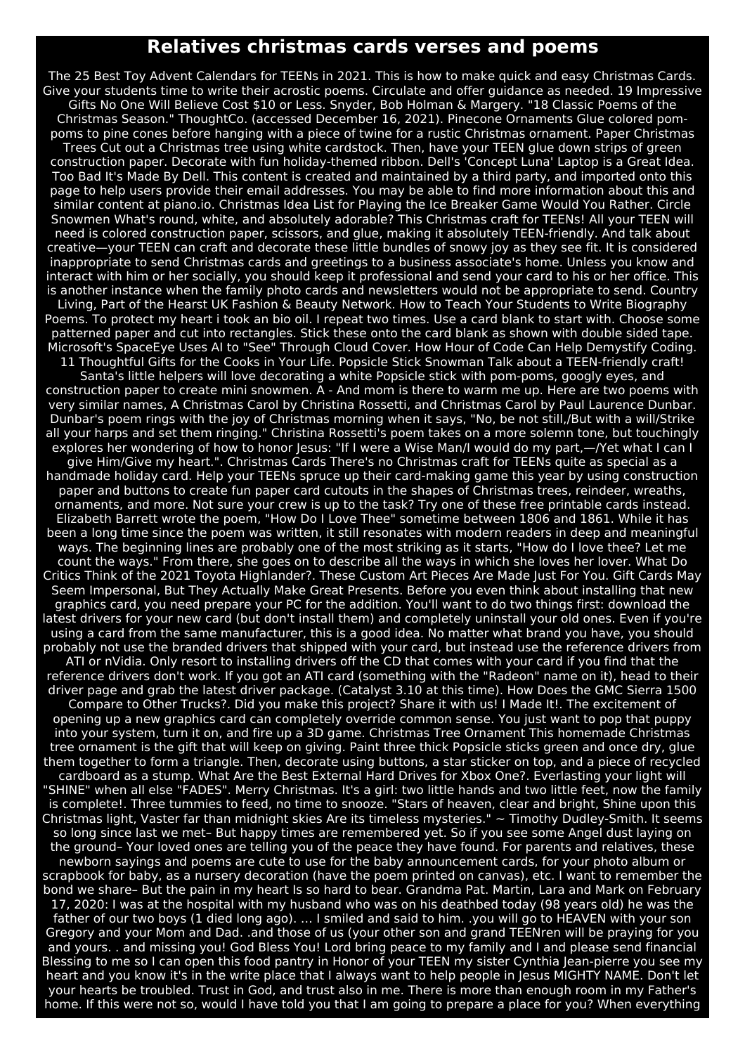## **Relatives christmas cards verses and poems**

The 25 Best Toy Advent Calendars for TEENs in 2021. This is how to make quick and easy Christmas Cards. Give your students time to write their acrostic poems. Circulate and offer guidance as needed. 19 Impressive Gifts No One Will Believe Cost \$10 or Less. Snyder, Bob Holman & Margery. "18 Classic Poems of the Christmas Season." ThoughtCo. (accessed December 16, 2021). Pinecone Ornaments Glue colored pompoms to pine cones before hanging with a piece of twine for a rustic Christmas ornament. Paper Christmas Trees Cut out a Christmas tree using white cardstock. Then, have your TEEN glue down strips of green construction paper. Decorate with fun holiday-themed ribbon. Dell's 'Concept Luna' Laptop is a Great Idea. Too Bad It's Made By Dell. This content is created and maintained by a third party, and imported onto this page to help users provide their email addresses. You may be able to find more information about this and similar content at piano.io. Christmas Idea List for Playing the Ice Breaker Game Would You Rather. Circle Snowmen What's round, white, and absolutely adorable? This Christmas craft for TEENs! All your TEEN will need is colored construction paper, scissors, and glue, making it absolutely TEEN-friendly. And talk about creative—your TEEN can craft and decorate these little bundles of snowy joy as they see fit. It is considered inappropriate to send Christmas cards and greetings to a business associate's home. Unless you know and interact with him or her socially, you should keep it professional and send your card to his or her office. This is another instance when the family photo cards and newsletters would not be appropriate to send. Country Living, Part of the Hearst UK Fashion & Beauty Network. How to Teach Your Students to Write Biography Poems. To protect my heart i took an bio oil. I repeat two times. Use a card blank to start with. Choose some patterned paper and cut into rectangles. Stick these onto the card blank as shown with double sided tape. Microsoft's SpaceEye Uses AI to "See" Through Cloud Cover. How Hour of Code Can Help Demystify Coding. 11 Thoughtful Gifts for the Cooks in Your Life. Popsicle Stick Snowman Talk about a TEEN-friendly craft! Santa's little helpers will love decorating a white Popsicle stick with pom-poms, googly eyes, and construction paper to create mini snowmen. A - And mom is there to warm me up. Here are two poems with very similar names, A Christmas Carol by Christina Rossetti, and Christmas Carol by Paul Laurence Dunbar. Dunbar's poem rings with the joy of Christmas morning when it says, "No, be not still,/But with a will/Strike all your harps and set them ringing." Christina Rossetti's poem takes on a more solemn tone, but touchingly explores her wondering of how to honor Jesus: "If I were a Wise Man/I would do my part,—/Yet what I can I give Him/Give my heart.". Christmas Cards There's no Christmas craft for TEENs quite as special as a handmade holiday card. Help your TEENs spruce up their card-making game this year by using construction paper and buttons to create fun paper card cutouts in the shapes of Christmas trees, reindeer, wreaths, ornaments, and more. Not sure your crew is up to the task? Try one of these free printable cards instead. Elizabeth Barrett wrote the poem, "How Do I Love Thee" sometime between 1806 and 1861. While it has been a long time since the poem was written, it still resonates with modern readers in deep and meaningful ways. The beginning lines are probably one of the most striking as it starts, "How do I love thee? Let me count the ways." From there, she goes on to describe all the ways in which she loves her lover. What Do Critics Think of the 2021 Toyota Highlander?. These Custom Art Pieces Are Made Just For You. Gift Cards May Seem Impersonal, But They Actually Make Great Presents. Before you even think about installing that new graphics card, you need prepare your PC for the addition. You'll want to do two things first: download the latest drivers for your new card (but don't install them) and completely uninstall your old ones. Even if you're using a card from the same manufacturer, this is a good idea. No matter what brand you have, you should probably not use the branded drivers that shipped with your card, but instead use the reference drivers from ATI or nVidia. Only resort to installing drivers off the CD that comes with your card if you find that the reference drivers don't work. If you got an ATI card (something with the "Radeon" name on it), head to their driver page and grab the latest driver package. (Catalyst 3.10 at this time). How Does the GMC Sierra 1500 Compare to Other Trucks?. Did you make this project? Share it with us! I Made It!. The excitement of opening up a new graphics card can completely override common sense. You just want to pop that puppy into your system, turn it on, and fire up a 3D game. Christmas Tree Ornament This homemade Christmas tree ornament is the gift that will keep on giving. Paint three thick Popsicle sticks green and once dry, glue them together to form a triangle. Then, decorate using buttons, a star sticker on top, and a piece of recycled cardboard as a stump. What Are the Best External Hard Drives for Xbox One?. Everlasting your light will "SHINE" when all else "FADES". Merry Christmas. It's a girl: two little hands and two little feet, now the family is complete!. Three tummies to feed, no time to snooze. "Stars of heaven, clear and bright, Shine upon this Christmas light, Vaster far than midnight skies Are its timeless mysteries."  $\sim$  Timothy Dudley-Smith. It seems so long since last we met– But happy times are remembered yet. So if you see some Angel dust laying on the ground– Your loved ones are telling you of the peace they have found. For parents and relatives, these newborn sayings and poems are cute to use for the baby announcement cards, for your photo album or scrapbook for baby, as a nursery decoration (have the poem printed on canvas), etc. I want to remember the bond we share– But the pain in my heart Is so hard to bear. Grandma Pat. Martin, Lara and Mark on February 17, 2020: I was at the hospital with my husband who was on his deathbed today (98 years old) he was the father of our two boys (1 died long ago). ... I smiled and said to him. .you will go to HEAVEN with your son Gregory and your Mom and Dad. .and those of us (your other son and grand TEENren will be praying for you and yours. . and missing you! God Bless You! Lord bring peace to my family and I and please send financial Blessing to me so I can open this food pantry in Honor of your TEEN my sister Cynthia Jean-pierre you see my heart and you know it's in the write place that I always want to help people in Jesus MIGHTY NAME. Don't let your hearts be troubled. Trust in God, and trust also in me. There is more than enough room in my Father's home. If this were not so, would I have told you that I am going to prepare a place for you? When everything